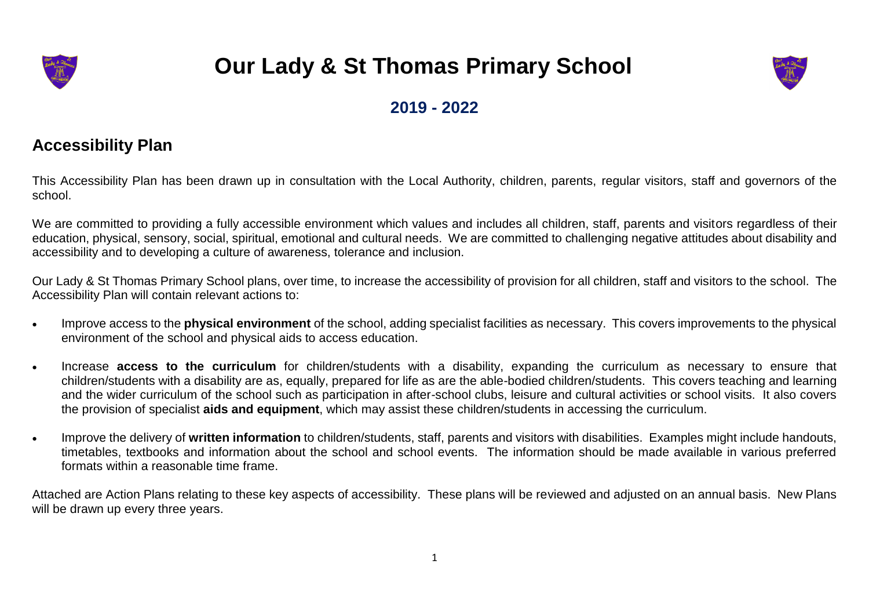

## **Our Lady & St Thomas Primary School**



## **2019 - 2022**

## **Accessibility Plan**

This Accessibility Plan has been drawn up in consultation with the Local Authority, children, parents, regular visitors, staff and governors of the school.

We are committed to providing a fully accessible environment which values and includes all children, staff, parents and visitors regardless of their education, physical, sensory, social, spiritual, emotional and cultural needs. We are committed to challenging negative attitudes about disability and accessibility and to developing a culture of awareness, tolerance and inclusion.

Our Lady & St Thomas Primary School plans, over time, to increase the accessibility of provision for all children, staff and visitors to the school. The Accessibility Plan will contain relevant actions to:

- Improve access to the **physical environment** of the school, adding specialist facilities as necessary. This covers improvements to the physical environment of the school and physical aids to access education.
- Increase **access to the curriculum** for children/students with a disability, expanding the curriculum as necessary to ensure that children/students with a disability are as, equally, prepared for life as are the able-bodied children/students. This covers teaching and learning and the wider curriculum of the school such as participation in after-school clubs, leisure and cultural activities or school visits. It also covers the provision of specialist **aids and equipment**, which may assist these children/students in accessing the curriculum.
- Improve the delivery of **written information** to children/students, staff, parents and visitors with disabilities. Examples might include handouts, timetables, textbooks and information about the school and school events. The information should be made available in various preferred formats within a reasonable time frame.

Attached are Action Plans relating to these key aspects of accessibility. These plans will be reviewed and adjusted on an annual basis. New Plans will be drawn up every three years.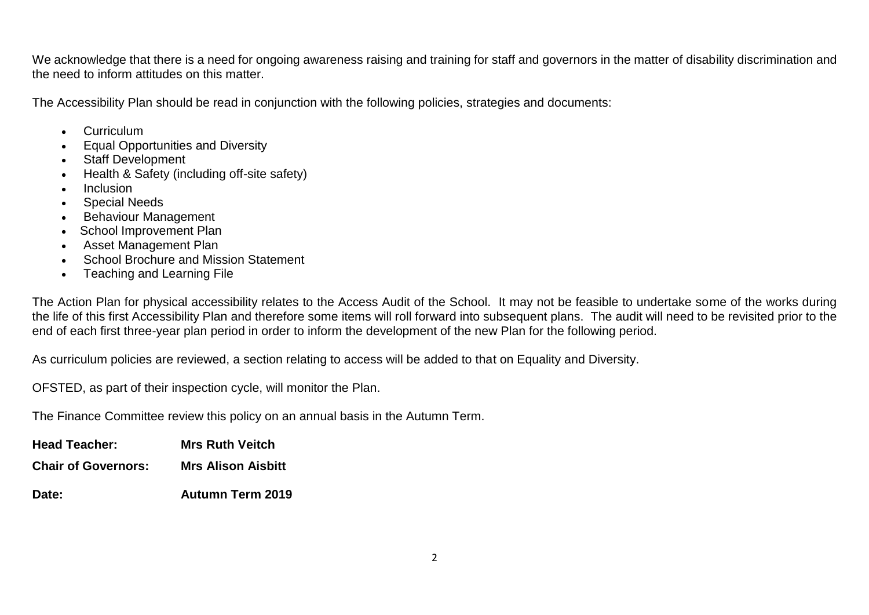We acknowledge that there is a need for ongoing awareness raising and training for staff and governors in the matter of disability discrimination and the need to inform attitudes on this matter.

The Accessibility Plan should be read in conjunction with the following policies, strategies and documents:

- Curriculum
- **•** Equal Opportunities and Diversity
- Staff Development
- Health & Safety (including off-site safety)
- Inclusion
- Special Needs
- Behaviour Management
- School Improvement Plan
- Asset Management Plan
- School Brochure and Mission Statement
- Teaching and Learning File

The Action Plan for physical accessibility relates to the Access Audit of the School. It may not be feasible to undertake some of the works during the life of this first Accessibility Plan and therefore some items will roll forward into subsequent plans. The audit will need to be revisited prior to the end of each first three-year plan period in order to inform the development of the new Plan for the following period.

As curriculum policies are reviewed, a section relating to access will be added to that on Equality and Diversity.

OFSTED, as part of their inspection cycle, will monitor the Plan.

The Finance Committee review this policy on an annual basis in the Autumn Term.

| <b>Head Teacher:</b>       | <b>Mrs Ruth Veitch</b>    |
|----------------------------|---------------------------|
| <b>Chair of Governors:</b> | <b>Mrs Alison Aisbitt</b> |
| <b>Date:</b>               | <b>Autumn Term 2019</b>   |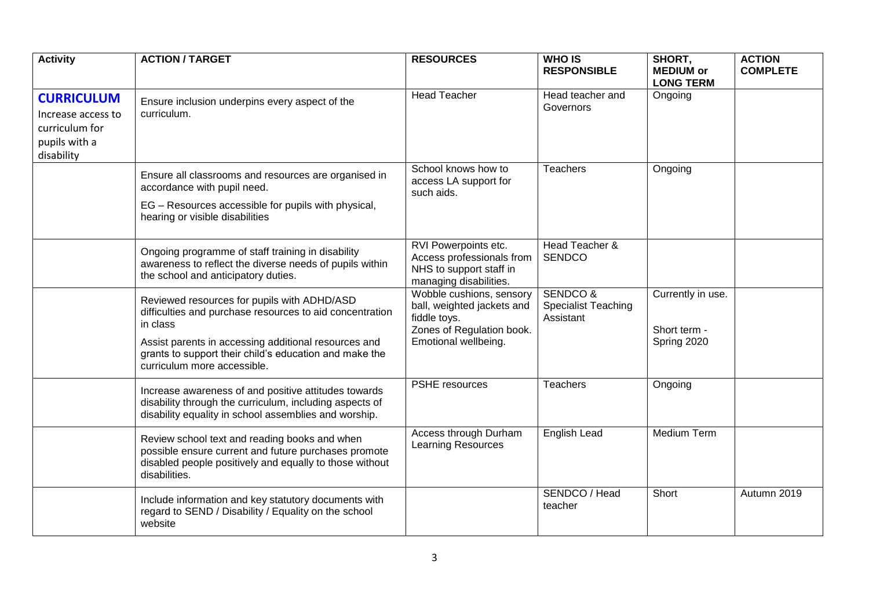| <b>Activity</b>                                                                          | <b>ACTION / TARGET</b>                                                                                                                                                                                                                                               | <b>RESOURCES</b>                                                                                                            | <b>WHO IS</b><br><b>RESPONSIBLE</b>                            | SHORT,<br><b>MEDIUM or</b><br><b>LONG TERM</b>   | <b>ACTION</b><br><b>COMPLETE</b> |
|------------------------------------------------------------------------------------------|----------------------------------------------------------------------------------------------------------------------------------------------------------------------------------------------------------------------------------------------------------------------|-----------------------------------------------------------------------------------------------------------------------------|----------------------------------------------------------------|--------------------------------------------------|----------------------------------|
| <b>CURRICULUM</b><br>Increase access to<br>curriculum for<br>pupils with a<br>disability | Ensure inclusion underpins every aspect of the<br>curriculum.                                                                                                                                                                                                        | <b>Head Teacher</b>                                                                                                         | Head teacher and<br>Governors                                  | Ongoing                                          |                                  |
|                                                                                          | Ensure all classrooms and resources are organised in<br>accordance with pupil need.<br>EG - Resources accessible for pupils with physical,<br>hearing or visible disabilities                                                                                        | School knows how to<br>access LA support for<br>such aids.                                                                  | <b>Teachers</b>                                                | Ongoing                                          |                                  |
|                                                                                          | Ongoing programme of staff training in disability<br>awareness to reflect the diverse needs of pupils within<br>the school and anticipatory duties.                                                                                                                  | RVI Powerpoints etc.<br>Access professionals from<br>NHS to support staff in<br>managing disabilities.                      | Head Teacher &<br><b>SENDCO</b>                                |                                                  |                                  |
|                                                                                          | Reviewed resources for pupils with ADHD/ASD<br>difficulties and purchase resources to aid concentration<br>in class<br>Assist parents in accessing additional resources and<br>grants to support their child's education and make the<br>curriculum more accessible. | Wobble cushions, sensory<br>ball, weighted jackets and<br>fiddle toys.<br>Zones of Regulation book.<br>Emotional wellbeing. | <b>SENDCO &amp;</b><br><b>Specialist Teaching</b><br>Assistant | Currently in use.<br>Short term -<br>Spring 2020 |                                  |
|                                                                                          | Increase awareness of and positive attitudes towards<br>disability through the curriculum, including aspects of<br>disability equality in school assemblies and worship.                                                                                             | PSHE resources                                                                                                              | <b>Teachers</b>                                                | Ongoing                                          |                                  |
|                                                                                          | Review school text and reading books and when<br>possible ensure current and future purchases promote<br>disabled people positively and equally to those without<br>disabilities.                                                                                    | Access through Durham<br><b>Learning Resources</b>                                                                          | English Lead                                                   | <b>Medium Term</b>                               |                                  |
|                                                                                          | Include information and key statutory documents with<br>regard to SEND / Disability / Equality on the school<br>website                                                                                                                                              |                                                                                                                             | SENDCO / Head<br>teacher                                       | Short                                            | Autumn 2019                      |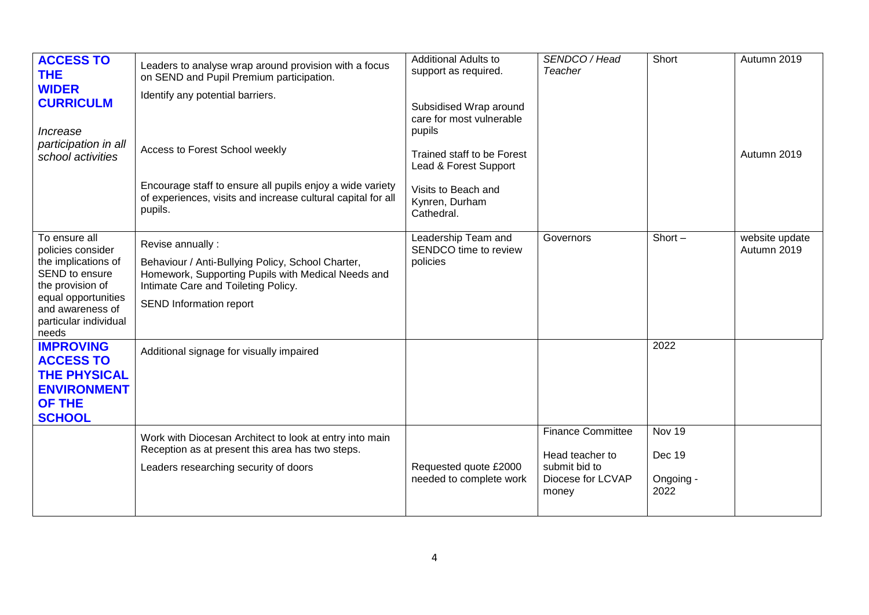| <b>ACCESS TO</b><br><b>THE</b><br><b>WIDER</b><br><b>CURRICULM</b><br>Increase<br>participation in all<br>school activities                                                  | Leaders to analyse wrap around provision with a focus<br>on SEND and Pupil Premium participation.<br>Identify any potential barriers.<br>Access to Forest School weekly                       | <b>Additional Adults to</b><br>support as required.<br>Subsidised Wrap around<br>care for most vulnerable<br>pupils<br>Trained staff to be Forest<br>Lead & Forest Support | SENDCO / Head<br>Teacher                                                                   | Short                                 | Autumn 2019<br>Autumn 2019    |
|------------------------------------------------------------------------------------------------------------------------------------------------------------------------------|-----------------------------------------------------------------------------------------------------------------------------------------------------------------------------------------------|----------------------------------------------------------------------------------------------------------------------------------------------------------------------------|--------------------------------------------------------------------------------------------|---------------------------------------|-------------------------------|
|                                                                                                                                                                              | Encourage staff to ensure all pupils enjoy a wide variety<br>of experiences, visits and increase cultural capital for all<br>pupils.                                                          | Visits to Beach and<br>Kynren, Durham<br>Cathedral.                                                                                                                        |                                                                                            |                                       |                               |
| To ensure all<br>policies consider<br>the implications of<br>SEND to ensure<br>the provision of<br>equal opportunities<br>and awareness of<br>particular individual<br>needs | Revise annually:<br>Behaviour / Anti-Bullying Policy, School Charter,<br>Homework, Supporting Pupils with Medical Needs and<br>Intimate Care and Toileting Policy.<br>SEND Information report | Leadership Team and<br>SENDCO time to review<br>policies                                                                                                                   | Governors                                                                                  | Short $-$                             | website update<br>Autumn 2019 |
| <b>IMPROVING</b><br><b>ACCESS TO</b><br><b>THE PHYSICAL</b><br><b>ENVIRONMENT</b><br><b>OF THE</b><br><b>SCHOOL</b>                                                          | Additional signage for visually impaired                                                                                                                                                      |                                                                                                                                                                            |                                                                                            | 2022                                  |                               |
|                                                                                                                                                                              | Work with Diocesan Architect to look at entry into main<br>Reception as at present this area has two steps.<br>Leaders researching security of doors                                          | Requested quote £2000<br>needed to complete work                                                                                                                           | <b>Finance Committee</b><br>Head teacher to<br>submit bid to<br>Diocese for LCVAP<br>money | Nov 19<br>Dec 19<br>Ongoing -<br>2022 |                               |